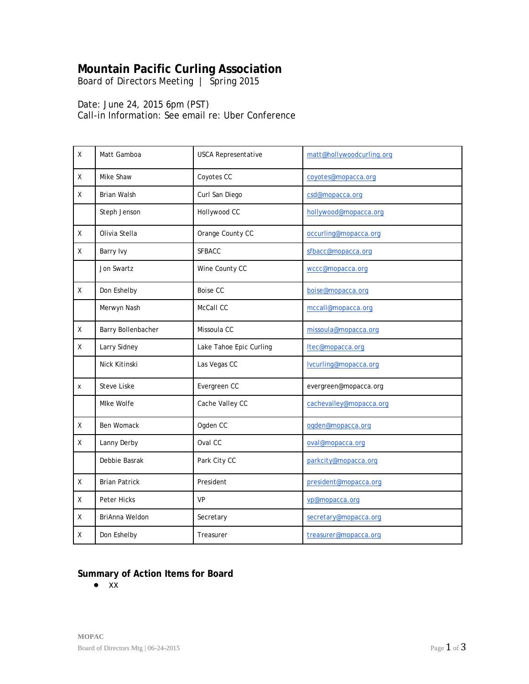# **Mountain Pacific Curling Association**

*Board of Directors Meeting | Spring 2015* 

Date: June 24, 2015 6pm (PST) Call-in Information: See email re: Uber Conference

| X            | Matt Gamboa          | <b>USCA Representative</b> | matt@hollywoodcurling.org |
|--------------|----------------------|----------------------------|---------------------------|
| X            | Mike Shaw            | Coyotes CC                 | coyotes@mopacca.org       |
| X            | Brian Walsh          | Curl San Diego             | csd@mopacca.org           |
|              | Steph Jenson         | Hollywood CC               | hollywood@mopacca.org     |
| X            | Olivia Stella        | Orange County CC           | occurling@mopacca.org     |
| X            | Barry Ivy            | <b>SFBACC</b>              | sfbacc@mopacca.org        |
|              | Jon Swartz           | Wine County CC             | wccc@mopacca.org          |
| X            | Don Eshelby          | <b>Boise CC</b>            | boise@mopacca.org         |
|              | Merwyn Nash          | McCall CC                  | mccall@mopacca.org        |
| χ            | Barry Bollenbacher   | Missoula CC                | missoula@mopacca.org      |
| $\mathsf{X}$ | Larry Sidney         | Lake Tahoe Epic Curling    | Itec@mopacca.org          |
|              | Nick Kitinski        | Las Vegas CC               | lvcurling@mopacca.org     |
| x            | <b>Steve Liske</b>   | Evergreen CC               | evergreen@mopacca.org     |
|              | Mlke Wolfe           | Cache Valley CC            | cachevalley@mopacca.org   |
| χ            | Ben Womack           | Ogden CC                   | ogden@mopacca.org         |
| $\mathsf{X}$ | Lanny Derby          | Oval CC                    | oval@mopacca.org          |
|              | Debbie Basrak        | Park City CC               | parkcity@mopacca.org      |
| X            | <b>Brian Patrick</b> | President                  | president@mopacca.org     |
| Χ            | Peter Hicks          | <b>VP</b>                  | vp@mopacca.org            |
| X            | BriAnna Weldon       | Secretary                  | secretary@mopacca.org     |
| X            | Don Eshelby          | Treasurer                  | treasurer@mopacca.org     |

#### **Summary of Action Items for Board**

● xx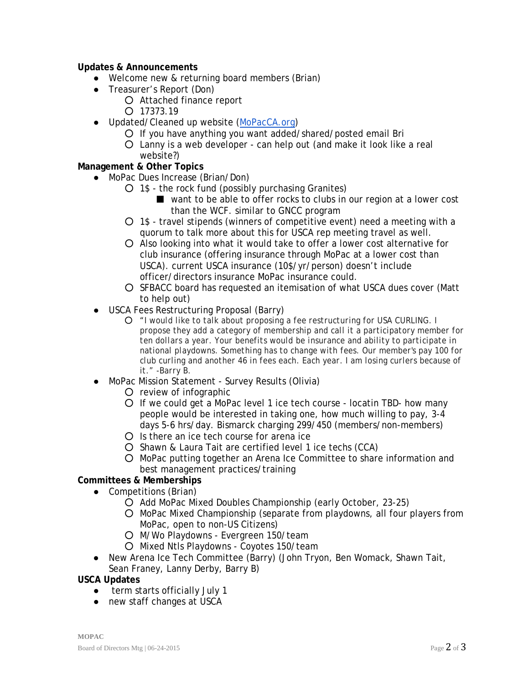#### **Updates & Announcements**

- Welcome new & returning board members (Brian)
- Treasurer's Report (Don)
	- Attached finance report
	- $O$  17373.19
- Updated/Cleaned up website [\(MoPacCA.org\)](http://www.mopacca.org/)
	- If you have anything you want added/shared/posted email Bri
	- Lanny is a web developer can help out (and make it look like a real website?)

## **Management & Other Topics**

- MoPac Dues Increase (Brian/Don)
	- $O$  1\$ the rock fund (possibly purchasing Granites)
		- want to be able to offer rocks to clubs in our region at a lower cost than the WCF. similar to GNCC program
	- 1\$ travel stipends (winners of competitive event) need a meeting with a quorum to talk more about this for USCA rep meeting travel as well.
	- Also looking into what it would take to offer a lower cost alternative for club insurance (offering insurance through MoPac at a lower cost than USCA). current USCA insurance (10\$/yr/person) doesn't include officer/directors insurance MoPac insurance could.
	- SFBACC board has requested an itemisation of what USCA dues cover (Matt to help out)
- USCA Fees Restructuring Proposal (Barry)
	- *"I would like to talk about proposing a fee restructuring for USA CURLING. I propose they add a category of membership and call it a participatory member for ten dollars a year. Your benefits would be insurance and ability to participate in national playdowns. Something has to change with fees. Our member's pay 100 for club curling and another 46 in fees each. Each year. I am losing curlers because of it." -Barry B.*
- MoPac Mission Statement Survey Results (Olivia)
	- review of infographic
	- If we could get a MoPac level 1 ice tech course locatin TBD- how many people would be interested in taking one, how much willing to pay, 3-4 days 5-6 hrs/day. Bismarck charging 299/450 (members/non-members)
	- Is there an ice tech course for arena ice
	- Shawn & Laura Tait are certified level 1 ice techs (CCA)
	- MoPac putting together an Arena Ice Committee to share information and best management practices/training

## **Committees & Memberships**

- Competitions (Brian)
	- Add MoPac Mixed Doubles Championship (early October, 23-25)
	- MoPac Mixed Championship (separate from playdowns, all four players from MoPac, open to non-US Citizens)
	- M/Wo Playdowns Evergreen 150/team
	- Mixed Ntls Playdowns Coyotes 150/team
- New Arena Ice Tech Committee (Barry) (John Tryon, Ben Womack, Shawn Tait, Sean Franey, Lanny Derby, Barry B)

#### **USCA Updates**

- term starts officially July 1
- new staff changes at USCA